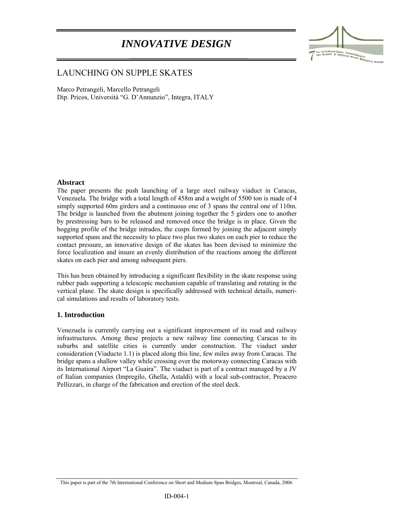# *INNOVATIVE DESIGN*



# LAUNCHING ON SUPPLE SKATES

Marco Petrangeli, Marcello Petrangeli Dip. Pricos, Università "G. D'Annunzio", Integra, ITALY

#### **Abstract**

l

The paper presents the push launching of a large steel railway viaduct in Caracas, Venezuela. The bridge with a total length of 458m and a weight of 5500 ton is made of 4 simply supported 60m girders and a continuous one of 3 spans the central one of 110m. The bridge is launched from the abutment joining together the 5 girders one to another by prestressing bars to be released and removed once the bridge is in place. Given the hogging profile of the bridge intrados, the cusps formed by joining the adjacent simply supported spans and the necessity to place two plus two skates on each pier to reduce the contact pressure, an innovative design of the skates has been devised to minimize the force localization and insure an evenly distribution of the reactions among the different skates on each pier and among subsequent piers.

This has been obtained by introducing a significant flexibility in the skate response using rubber pads supporting a telescopic mechanism capable of translating and rotating in the vertical plane. The skate design is specifically addressed with technical details, numerical simulations and results of laboratory tests.

# **1. Introduction**

Venezuela is currently carrying out a significant improvement of its road and railway infrastructures. Among these projects a new railway line connecting Caracas to its suburbs and satellite cities is currently under construction. The viaduct under consideration (Viaducto 1.1) is placed along this line, few miles away from Caracas. The bridge spans a shallow valley while crossing over the motorway connecting Caracas with its International Airport "La Guaira". The viaduct is part of a contract managed by a JV of Italian companies (Impregilo, Ghella, Astaldi) with a local sub-contractor, Preacero Pellizzari, in charge of the fabrication and erection of the steel deck.

This paper is part of the 7th International Conference on Short and Medium Span Bridges, Montreal, Canada, 2006.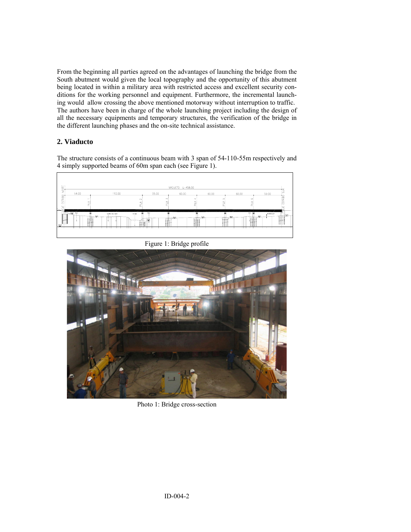From the beginning all parties agreed on the advantages of launching the bridge from the South abutment would given the local topography and the opportunity of this abutment being located in within a military area with restricted access and excellent security conditions for the working personnel and equipment. Furthermore, the incremental launching would allow crossing the above mentioned motorway without interruption to traffic. The authors have been in charge of the whole launching project including the design of all the necessary equipments and temporary structures, the verification of the bridge in the different launching phases and the on-site technical assistance.

# **2. Viaducto**

The structure consists of a continuous beam with 3 span of 54-110-55m respectively and 4 simply supported beams of 60m span each (see Figure 1).

| NORTE       | VIADUCTO L=458.00      |                 |                                |                            |         |                  |                        |                               |
|-------------|------------------------|-----------------|--------------------------------|----------------------------|---------|------------------|------------------------|-------------------------------|
| ESTRIBO     | 54.00                  | 110.00          | $\sim$<br>s                    | 55.00<br>$\mathbf{r}$<br>⋖ | 60.00   | 60.00<br>ം:<br>ď | 60.00<br>$\circ$       | iā<br>59.00<br><b>ESTRIBO</b> |
| 븳<br>↘      | 룺<br><b>Hotel Clus</b> | AND OF YOU HERE | 륎.<br>œ<br>dut<br><b>ROYAL</b> | 륎.                         | π.      | 륎                | 司<br><b>Chair</b><br>⊞ | ïщ<br>مستدم                   |
| Щ<br>330.00 | fill                   | -988            | ш                              | -52<br>ш                   | #±<br>. | --               | $\mathbf{m}$           | $\frac{1}{2}$<br>--           |
|             | Π<br>. .               |                 | ΤΠ<br>╥                        |                            |         |                  | ш                      |                               |



Figure 1: Bridge profile

Photo 1: Bridge cross-section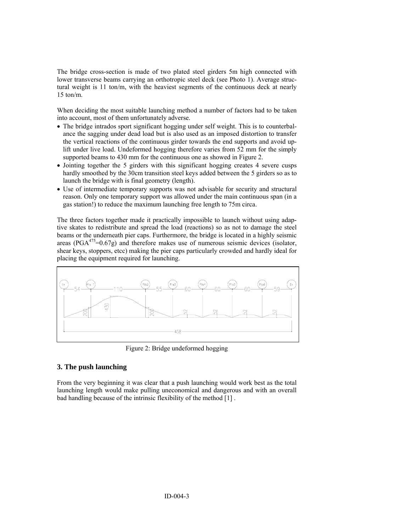The bridge cross-section is made of two plated steel girders 5m high connected with lower transverse beams carrying an orthotropic steel deck (see Photo 1). Average structural weight is 11 ton/m, with the heaviest segments of the continuous deck at nearly 15 ton/m.

When deciding the most suitable launching method a number of factors had to be taken into account, most of them unfortunately adverse.

- The bridge intrados sport significant hogging under self weight. This is to counterbalance the sagging under dead load but is also used as an imposed distortion to transfer the vertical reactions of the continuous girder towards the end supports and avoid uplift under live load. Undeformed hogging therefore varies from 52 mm for the simply supported beams to 430 mm for the continuous one as showed in Figure 2.
- Jointing together the 5 girders with this significant hogging creates 4 severe cusps hardly smoothed by the 30cm transition steel keys added between the 5 girders so as to launch the bridge with is final geometry (length).
- Use of intermediate temporary supports was not advisable for security and structural reason. Only one temporary support was allowed under the main continuous span (in a gas station!) to reduce the maximum launching free length to 75m circa.

The three factors together made it practically impossible to launch without using adaptive skates to redistribute and spread the load (reactions) so as not to damage the steel beams or the underneath pier caps. Furthermore, the bridge is located in a highly seismic areas (PGA $^{475}$ =0.67g) and therefore makes use of numerous seismic devices (isolator, shear keys, stoppers, etcc) making the pier caps particularly crowded and hardly ideal for placing the equipment required for launching.



Figure 2: Bridge undeformed hogging

# **3. The push launching**

From the very beginning it was clear that a push launching would work best as the total launching length would make pulling uneconomical and dangerous and with an overall bad handling because of the intrinsic flexibility of the method [1] .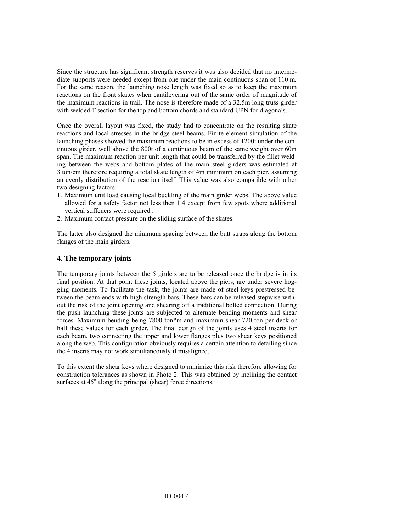Since the structure has significant strength reserves it was also decided that no intermediate supports were needed except from one under the main continuous span of 110 m. For the same reason, the launching nose length was fixed so as to keep the maximum reactions on the front skates when cantilevering out of the same order of magnitude of the maximum reactions in trail. The nose is therefore made of a 32.5m long truss girder with welded T section for the top and bottom chords and standard UPN for diagonals.

Once the overall layout was fixed, the study had to concentrate on the resulting skate reactions and local stresses in the bridge steel beams. Finite element simulation of the launching phases showed the maximum reactions to be in excess of 1200t under the continuous girder, well above the 800t of a continuous beam of the same weight over 60m span. The maximum reaction per unit length that could be transferred by the fillet welding between the webs and bottom plates of the main steel girders was estimated at 3 ton/cm therefore requiring a total skate length of 4m minimum on each pier, assuming an evenly distribution of the reaction itself. This value was also compatible with other two designing factors:

- 1. Maximum unit load causing local buckling of the main girder webs. The above value allowed for a safety factor not less then 1.4 except from few spots where additional vertical stiffeners were required .
- 2. Maximum contact pressure on the sliding surface of the skates.

The latter also designed the minimum spacing between the butt straps along the bottom flanges of the main girders.

#### **4. The temporary joints**

The temporary joints between the 5 girders are to be released once the bridge is in its final position. At that point these joints, located above the piers, are under severe hogging moments. To facilitate the task, the joints are made of steel keys prestressed between the beam ends with high strength bars. These bars can be released stepwise without the risk of the joint opening and shearing off a traditional bolted connection. During the push launching these joints are subjected to alternate bending moments and shear forces. Maximum bending being 7800 ton\*m and maximum shear 720 ton per deck or half these values for each girder. The final design of the joints uses 4 steel inserts for each beam, two connecting the upper and lower flanges plus two shear keys positioned along the web. This configuration obviously requires a certain attention to detailing since the 4 inserts may not work simultaneously if misaligned.

To this extent the shear keys where designed to minimize this risk therefore allowing for construction tolerances as shown in Photo 2. This was obtained by inclining the contact surfaces at 45° along the principal (shear) force directions.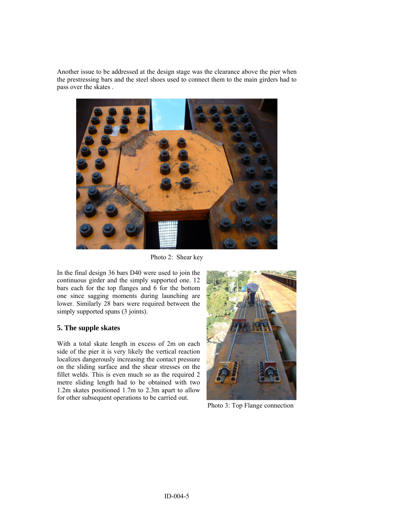Another issue to be addressed at the design stage was the clearance above the pier when the prestressing bars and the steel shoes used to connect them to the main girders had to pass over the skates .



Photo 2: Shear key

In the final design 36 bars D40 were used to join the continuous girder and the simply supported one. 12 bars each for the top flanges and 6 for the bottom one since sagging moments during launching are lower. Similarly 28 bars were required between the simply supported spans (3 joints).

#### **5. The supple skates**

With a total skate length in excess of 2m on each side of the pier it is very likely the vertical reaction localizes dangerously increasing the contact pressure on the sliding surface and the shear stresses on the fillet welds. This is even much so as the required 2 metre sliding length had to be obtained with two 1.2m skates positioned 1.7m to 2.3m apart to allow for other subsequent operations to be carried out.



Photo 3: Top Flange connection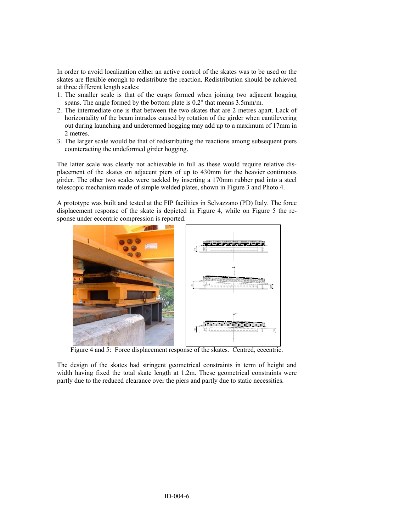In order to avoid localization either an active control of the skates was to be used or the skates are flexible enough to redistribute the reaction. Redistribution should be achieved at three different length scales:

- 1. The smaller scale is that of the cusps formed when joining two adjacent hogging spans. The angle formed by the bottom plate is 0.2° that means 3.5mm/m.
- 2. The intermediate one is that between the two skates that are 2 metres apart. Lack of horizontality of the beam intrados caused by rotation of the girder when cantilevering out during launching and underormed hogging may add up to a maximum of 17mm in 2 metres.
- 3. The larger scale would be that of redistributing the reactions among subsequent piers counteracting the undeformed girder hogging.

The latter scale was clearly not achievable in full as these would require relative displacement of the skates on adjacent piers of up to 430mm for the heavier continuous girder. The other two scales were tackled by inserting a 170mm rubber pad into a steel telescopic mechanism made of simple welded plates, shown in Figure 3 and Photo 4.

A prototype was built and tested at the FIP facilities in Selvazzano (PD) Italy. The force displacement response of the skate is depicted in Figure 4, while on Figure 5 the response under eccentric compression is reported.



Figure 4 and 5: Force displacement response of the skates. Centred, eccentric.

The design of the skates had stringent geometrical constraints in term of height and width having fixed the total skate length at 1.2m. These geometrical constraints were partly due to the reduced clearance over the piers and partly due to static necessities.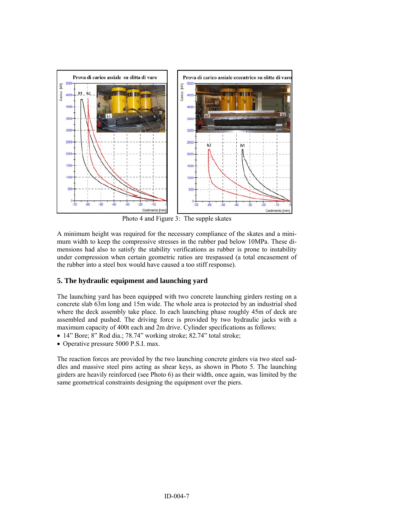

Photo 4 and Figure 3: The supple skates

A minimum height was required for the necessary compliance of the skates and a minimum width to keep the compressive stresses in the rubber pad below 10MPa. These dimensions had also to satisfy the stability verifications as rubber is prone to instability under compression when certain geometric ratios are trespassed (a total encasement of the rubber into a steel box would have caused a too stiff response).

# **5. The hydraulic equipment and launching yard**

The launching yard has been equipped with two concrete launching girders resting on a concrete slab 63m long and 15m wide. The whole area is protected by an industrial shed where the deck assembly take place. In each launching phase roughly 45m of deck are assembled and pushed. The driving force is provided by two hydraulic jacks with a maximum capacity of 400t each and 2m drive. Cylinder specifications as follows:

- 14" Bore; 8" Rod dia.; 78.74" working stroke; 82.74" total stroke;
- Operative pressure 5000 P.S.I. max.

The reaction forces are provided by the two launching concrete girders via two steel saddles and massive steel pins acting as shear keys, as shown in Photo 5. The launching girders are heavily reinforced (see Photo 6) as their width, once again, was limited by the same geometrical constraints designing the equipment over the piers.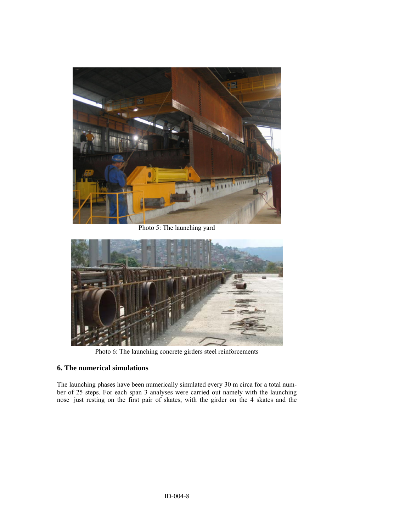

Photo 5: The launching yard



Photo 6: The launching concrete girders steel reinforcements

# **6. The numerical simulations**

The launching phases have been numerically simulated every 30 m circa for a total number of 25 steps. For each span 3 analyses were carried out namely with the launching nose just resting on the first pair of skates, with the girder on the 4 skates and the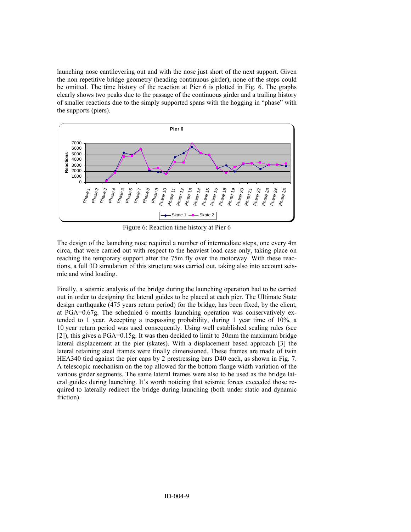launching nose cantilevering out and with the nose just short of the next support. Given the non repetitive bridge geometry (heading continuous girder), none of the steps could be omitted. The time history of the reaction at Pier 6 is plotted in Fig. 6. The graphs clearly shows two peaks due to the passage of the continuous girder and a trailing history of smaller reactions due to the simply supported spans with the hogging in "phase" with the supports (piers).



Figure 6: Reaction time history at Pier 6

The design of the launching nose required a number of intermediate steps, one every 4m circa, that were carried out with respect to the heaviest load case only, taking place on reaching the temporary support after the 75m fly over the motorway. With these reactions, a full 3D simulation of this structure was carried out, taking also into account seismic and wind loading.

Finally, a seismic analysis of the bridge during the launching operation had to be carried out in order to designing the lateral guides to be placed at each pier. The Ultimate State design earthquake (475 years return period) for the bridge, has been fixed, by the client, at PGA=0.67g. The scheduled 6 months launching operation was conservatively extended to 1 year. Accepting a trespassing probability, during 1 year time of 10%, a 10 year return period was used consequently. Using well established scaling rules (see [2]), this gives a PGA=0.15g. It was then decided to limit to 30mm the maximum bridge lateral displacement at the pier (skates). With a displacement based approach [3] the lateral retaining steel frames were finally dimensioned. These frames are made of twin HEA340 tied against the pier caps by 2 prestressing bars D40 each, as shown in Fig. 7. A telescopic mechanism on the top allowed for the bottom flange width variation of the various girder segments. The same lateral frames were also to be used as the bridge lateral guides during launching. It's worth noticing that seismic forces exceeded those required to laterally redirect the bridge during launching (both under static and dynamic friction).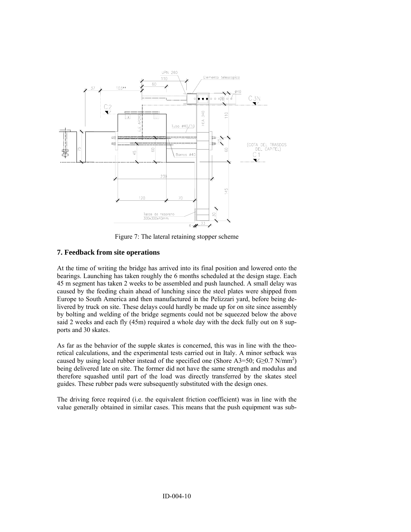

Figure 7: The lateral retaining stopper scheme

#### **7. Feedback from site operations**

At the time of writing the bridge has arrived into its final position and lowered onto the bearings. Launching has taken roughly the 6 months scheduled at the design stage. Each 45 m segment has taken 2 weeks to be assembled and push launched. A small delay was caused by the feeding chain ahead of lunching since the steel plates were shipped from Europe to South America and then manufactured in the Pelizzari yard, before being delivered by truck on site. These delays could hardly be made up for on site since assembly by bolting and welding of the bridge segments could not be squeezed below the above said 2 weeks and each fly (45m) required a whole day with the deck fully out on 8 supports and 30 skates.

As far as the behavior of the supple skates is concerned, this was in line with the theoretical calculations, and the experimental tests carried out in Italy. A minor setback was caused by using local rubber instead of the specified one (Shore A3=50; G $\geq$ 0.7 N/mm<sup>2</sup>) being delivered late on site. The former did not have the same strength and modulus and therefore squashed until part of the load was directly transferred by the skates steel guides. These rubber pads were subsequently substituted with the design ones.

The driving force required (i.e. the equivalent friction coefficient) was in line with the value generally obtained in similar cases. This means that the push equipment was sub